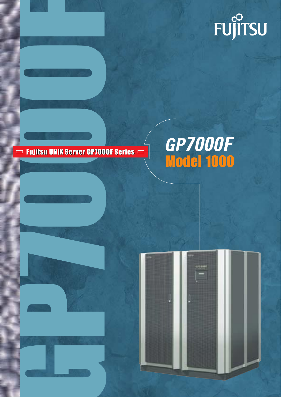

## $\qquad \qquad \Longleftrightarrow$  Fujitsu UNIX Server GP7000F Series  $\qquad \Rightarrow$

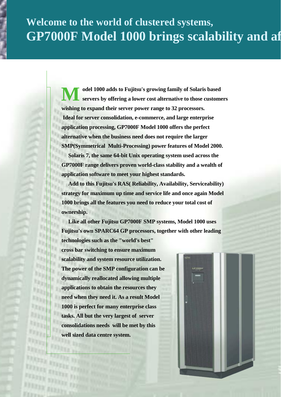# **Welcome to the world of clustered systems, GP7000F Model 1000 brings scalability and af**

t, t.

**FARY** 

**17.8 kg** 

**FIX ALLA** 

-11 1

**Model 1000 adds to Fujitsu's growing family of Solaris based servers by offering a lower cost alternative to those customers wishing to expand their server power range to 32 processors. Ideal for server consolidation, e-commerce, and large enterprise application processing, GP7000F Model 1000 offers the perfect alternative when the business need does not require the larger SMP(Symmetrical Multi-Processing) power features of Model 2000.** 

 **Solaris 7, the same 64-bit Unix operating system used across the GP7000F range delivers proven world-class stability and a wealth of application software to meet your highest standards.** 

 **Add to this Fujitsu's RAS( Reliability, Availability, Serviceability) strategy for maximum up time and service life and once again Model 1000 brings all the features you need to reduce your total cost of ownership.**

 **Like all other Fujitsu GP7000F SMP systems, Model 1000 uses Fujitsu's own SPARC64 GP processors, together with other leading** 

**technologies such as the "world's best" cross bar switching to ensure maximum scalability and system resource utilization. The power of the SMP configuration can be dynamically reallocated allowing multiple applications to obtain the resources they need when they need it. As a result Model 1000 is perfect for many enterprise class tasks. All but the very largest of server consolidations needs will be met by this well sized data centre system.** 

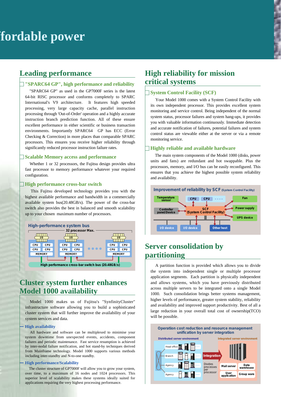## **Leading performance**

### **"SPARC64 GP", high performance and reliability**

 "SPARC64 GP" as used in the GP7000F series is the latest 64-bit RISC processor and conforms completely to SPARC International's V9 architecture. It features high speeded processing, very large capacity cache, parallel instruction processing through 'Out-of-Order' operation and a highly accurate instruction branch prediction function. All of these ensure excellent performance in either scientific or business transaction environments. Importantly SPARC64 GP has ECC (Error Checking & Correction) in more places than comparable SPARC processors. This ensures you receive higher reliability through significantly reduced processor instruction failure rates.

#### **Scalable Memory access and performance**

 Whether 1 or 32 processors, the Fujitsu design provides ultra fast processor to memory performance whatever your required configuration.

#### **High performance cross-bar switch**

 This Fujitsu developed technology provides you with the highest available performance and bandwidth in a commercially available system bus(20.48GB/s). The power of the cross-bar switch also provides the best in balanced and smooth scalability up to your chosen maximum number of processors.



## **Cluster system further enhances Model 1000 availability**

 Model 1000 makes us of Fujitsu's "SynfinityCluster" infrastructure software allowing you to build a sophisticated cluster system that will further improve the availability of your system services and data.

#### **High availability**

 All hardware and software can be multiplexed to minimise your system downtime from unexpected events, accidents, component failures and periodic maintenance. Fast service resumption is achieved by inter-nodal failure notification, and hot stand-by techniques derived from Mainframe technology. Model 1000 supports various methods including inter-standby and N-to-one standby.

#### **High performance/Scalability**

 The cluster structure of GP7000F will allow you to grow your system, over time, to a maximum of 16 nodes and 1024 processors. This superior level of scalability makes these systems ideally suited for applications requiring the very highest processing performance.

## **High reliability for mission critical systems**

### **System Control Facility (SCF)**

 Your Model 1000 comes with a System Control Facility with its own independent processor. This provides excellent system monitoring and service control. Being independent of the normal system status, processor failures and system hang-ups, it provides you with valuable information continuously. Immediate detection and accurate notification of failures, potential failures and system control status are viewable either at the server or via a remote monitoring service.

#### **Highly reliable and available hardware**

 The main system components of the Model 1000 (disks, power units and fans) are redundant and hot swappable. Plus the processors, memory, and I/O bus can be easily reconfigured. This ensures that you achieve the highest possible system reliability and availability.



## **Server consolidation by partitioning**

 A partition function is provided which allows you to divide the system into independent single or multiple processor application segments. Each partition is physically independent and allows systems, which you have previously distributed across multiple servers to be integrated onto a single Model 1000. Such consolidation brings better systems management, higher levels of performance, greater system stability, reliability and availability and improved support productivity. Best of all a large reduction in your overall total cost of ownership(TCO) will be possible.